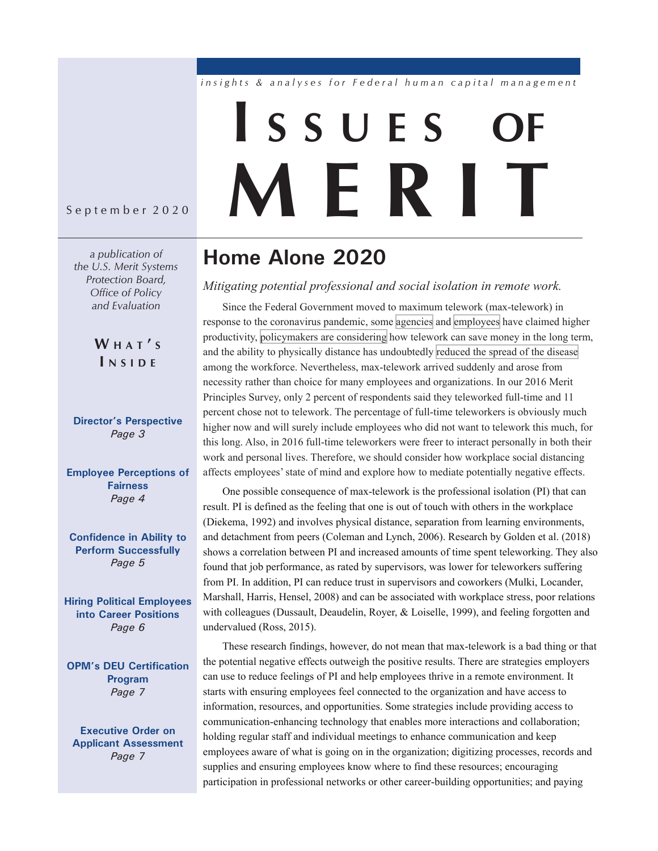### insights & analyses for Federal human capital management

# **I s <sup>s</sup> <sup>u</sup> <sup>e</sup> s of M E R I**

September 2020

*a publication of the U.S. Merit Systems Protection Board, Office of Policy and Evaluation* 

> **W H A T ' S I N S I D E**

**[Director's Perspective](#page-2-0)**  *Page 3* 

**[Employee Perceptions of](#page-3-0)  [Fairness](#page-3-0)**  *Page 4* 

**[Confidence in Ability to](#page-4-0)  [Perform Successfully](#page-4-0)**  *Page 5* 

**[Hiring Political Employees](#page-5-0)  [into Career Positions](#page-5-0)**  *Page 6* 

**[OPM's DEU Certification](#page-6-0)  [Program](#page-6-0)**  *Page 7* 

**[Executive Order on](#page-6-0)  [Applicant Assessment](#page-6-0)** *Page 7* 

### **Home Alone 2020**

*Mitigating potential professional and social isolation in remote work.* 

Since the Federal Government moved to maximum telework (max-telework) in response to the coronavirus pandemic, some [agencies](https://www.federaltimes.com/2020/05/19/more-productive-than-ever-agency-it-officials-see-benefits-from-telework/) and [employees](https://facilityexecutive.com/2020/07/federal-employees-telework-more-productive-motivated/) have claimed higher productivity, [policymakers are considering](https://thehill.com/policy/energy-environment/509632-lawmakers-weigh-increased-telework-as-some-agencies-push-federal) how telework can save money in the long term, and the ability to physically distance has undoubtedly [reduced the spread of the disease](https://www.cdc.gov/coronavirus/2019-ncov/prevent-getting-sick/social-distancing.html) among the workforce. Nevertheless, max-telework arrived suddenly and arose from necessity rather than choice for many employees and organizations. In our 2016 Merit Principles Survey, only 2 percent of respondents said they teleworked full-time and 11 percent chose not to telework. The percentage of full-time teleworkers is obviously much higher now and will surely include employees who did not want to telework this much, for this long. Also, in 2016 full-time teleworkers were freer to interact personally in both their work and personal lives. Therefore, we should consider how workplace social distancing affects employees' state of mind and explore how to mediate potentially negative effects.

One possible consequence of max-telework is the professional isolation (PI) that can result. PI is defined as the feeling that one is out of touch with others in the workplace (Diekema, 1992) and involves physical distance, separation from learning environments, and detachment from peers (Coleman and Lynch, 2006). Research by Golden et al. (2018) shows a correlation between PI and increased amounts of time spent teleworking. They also found that job performance, as rated by supervisors, was lower for teleworkers suffering from PI. In addition, PI can reduce trust in supervisors and coworkers (Mulki, Locander, Marshall, Harris, Hensel, 2008) and can be associated with workplace stress, poor relations with colleagues (Dussault, Deaudelin, Royer, & Loiselle, 1999), and feeling forgotten and undervalued (Ross, 2015).

These research findings, however, do not mean that max-telework is a bad thing or that the potential negative effects outweigh the positive results. There are strategies employers can use to reduce feelings of PI and help employees thrive in a remote environment. It starts with ensuring employees feel connected to the organization and have access to information, resources, and opportunities. Some strategies include providing access to communication-enhancing technology that enables more interactions and collaboration; holding regular staff and individual meetings to enhance communication and keep employees aware of what is going on in the organization; digitizing processes, records and supplies and ensuring employees know where to find these resources; encouraging participation in professional networks or other career-building opportunities; and paying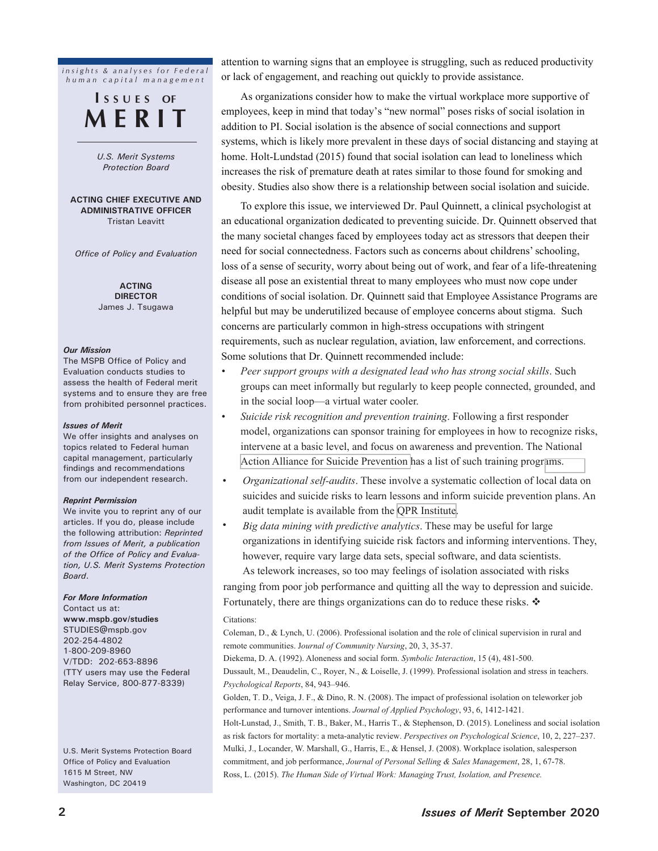*insights & analyses for Federal h u m a n c a p i t a l m a n a g e m e n t*

### **I <sup>s</sup> <sup>s</sup> <sup>u</sup> <sup>e</sup> s of M e R I T**

*U.S. Merit Systems Protection Board* 

#### **ACTING CHIEF EXECUTIVE AND ADMINISTRATIVE OFFICER** Tristan Leavitt

*Office of Policy and Evaluation*

**ACTING DIRECTOR** James J. Tsugawa

#### *Our Mission*

The MSPB Office of Policy and Evaluation conducts studies to assess the health of Federal merit systems and to ensure they are free from prohibited personnel practices.

#### *Issues of Merit*

We offer insights and analyses on topics related to Federal human capital management, particularly findings and recommendations from our independent research.

#### *Reprint Permission*

We invite you to reprint any of our articles. If you do, please include the following attribution: *Reprinted from Issues of Merit, a publication of the Office of Policy and Evaluation, U.S. Merit Systems Protection Board*.

#### *For More Information*

Contact us at: **[www.mspb.gov/studies](https://www.mspb.gov/studies/index.htm)** [STUDIES@mspb.gov](mailto:studies%40mspb.gov?subject=Attention%20MSPB%20Studies) 202-254-4802 1-800-209-8960 V/TDD: 202-653-8896 (TTY users may use the Federal Relay Service, 800-877-8339)

U.S. Merit Systems Protection Board Office of Policy and Evaluation 1615 M Street, NW Washington, DC 20419

attention to warning signs that an employee is struggling, such as reduced productivity or lack of engagement, and reaching out quickly to provide assistance.

As organizations consider how to make the virtual workplace more supportive of employees, keep in mind that today's "new normal" poses risks of social isolation in addition to PI. Social isolation is the absence of social connections and support systems, which is likely more prevalent in these days of social distancing and staying at home. Holt-Lundstad (2015) found that social isolation can lead to loneliness which increases the risk of premature death at rates similar to those found for smoking and obesity. Studies also show there is a relationship between social isolation and suicide.

To explore this issue, we interviewed Dr. Paul Quinnett, a clinical psychologist at an educational organization dedicated to preventing suicide. Dr. Quinnett observed that the many societal changes faced by employees today act as stressors that deepen their need for social connectedness. Factors such as concerns about childrens' schooling, loss of a sense of security, worry about being out of work, and fear of a life-threatening disease all pose an existential threat to many employees who must now cope under conditions of social isolation. Dr. Quinnett said that Employee Assistance Programs are helpful but may be underutilized because of employee concerns about stigma. Such concerns are particularly common in high-stress occupations with stringent requirements, such as nuclear regulation, aviation, law enforcement, and corrections. Some solutions that Dr. Quinnett recommended include:

- *Peer support groups with a designated lead who has strong social skills*. Such groups can meet informally but regularly to keep people connected, grounded, and in the social loop—a virtual water cooler.
- *Suicide risk recognition and prevention training*. Following a first responder model, organizations can sponsor training for employees in how to recognize risks, intervene at a basic level, and focus on awareness and prevention. The National [Action Alliance for Suicide Prevention](https://theactionalliance.org/communities/workplace/blueprintforworkplacesuicideprevention/suicide-prevention-training) has a list of such training progr[ams.](https://theactionalliance.org/communities/workplace/blueprintforworkplacesuicideprevention/suicide-prevention-training)
- *Organizational self-audits*. These involve a systematic collection of local data on suicides and suicide risks to learn lessons and inform suicide prevention plans. An audit template is available from the [QPR Institute](https://qprinstitute.com/uploads/instructor/MindfulnessEmployers.pdf).
- *Big data mining with predictive analytics*. These may be useful for large organizations in identifying suicide risk factors and informing interventions. They, however, require vary large data sets, special software, and data scientists. As telework increases, so too may feelings of isolation associated with risks

ranging from poor job performance and quitting all the way to depression and suicide. Fortunately, there are things organizations can do to reduce these risks.  $\mathbf{\hat{*}}$ 

#### Citations:

Coleman, D., & Lynch, U. (2006). Professional isolation and the role of clinical supervision in rural and remote communities. J*ournal of Community Nursing*, 20, 3, 35-37.

Diekema, D. A. (1992). Aloneness and social form. *Symbolic Interaction*, 15 (4), 481-500. Dussault, M., Deaudelin, C., Royer, N., & Loiselle, J. (1999). Professional isolation and stress in teachers. *Psychological Reports*, 84, 943–946.

Golden, T. D., Veiga, J. F., & Dino, R. N. (2008). The impact of professional isolation on teleworker job performance and turnover intentions. *Journal of Applied Psychology*, 93, 6, 1412-1421.

Holt-Lunstad, J., Smith, T. B., Baker, M., Harris T., & Stephenson, D. (2015). Loneliness and social isolation as risk factors for mortality: a meta-analytic review. *Perspectives on Psychological Science*, 10, 2, 227–237. Mulki, J., Locander, W. Marshall, G., Harris, E., & Hensel, J. (2008). Workplace isolation, salesperson commitment, and job performance, *Journal of Personal Selling & Sales Management*, 28, 1, 67-78. Ross, L. (2015). *The Human Side of Virtual Work: Managing Trust, Isolation, and Presence.*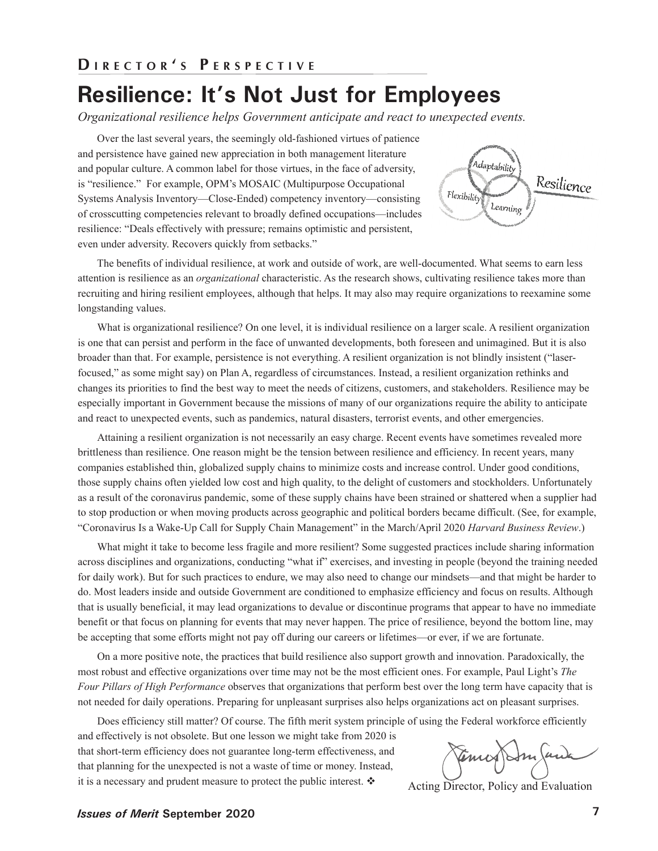### <span id="page-2-0"></span>**Resilience: It's Not Just for Employees**

*Organizational resilience helps Government anticipate and react to unexpected events.* 

Over the last several years, the seemingly old-fashioned virtues of patience and persistence have gained new appreciation in both management literature and popular culture. A common label for those virtues, in the face of adversity, is "resilience." For example, OPM's MOSAIC (Multipurpose Occupational Systems Analysis Inventory—Close-Ended) competency inventory—consisting of crosscutting competencies relevant to broadly defined occupations—includes resilience: "Deals effectively with pressure; remains optimistic and persistent, even under adversity. Recovers quickly from setbacks."



The benefits of individual resilience, at work and outside of work, are well-documented. What seems to earn less attention is resilience as an *organizational* characteristic. As the research shows, cultivating resilience takes more than recruiting and hiring resilient employees, although that helps. It may also may require organizations to reexamine some longstanding values.

What is organizational resilience? On one level, it is individual resilience on a larger scale. A resilient organization is one that can persist and perform in the face of unwanted developments, both foreseen and unimagined. But it is also broader than that. For example, persistence is not everything. A resilient organization is not blindly insistent ("laserfocused," as some might say) on Plan A, regardless of circumstances. Instead, a resilient organization rethinks and changes its priorities to find the best way to meet the needs of citizens, customers, and stakeholders. Resilience may be especially important in Government because the missions of many of our organizations require the ability to anticipate and react to unexpected events, such as pandemics, natural disasters, terrorist events, and other emergencies.

Attaining a resilient organization is not necessarily an easy charge. Recent events have sometimes revealed more brittleness than resilience. One reason might be the tension between resilience and efficiency. In recent years, many companies established thin, globalized supply chains to minimize costs and increase control. Under good conditions, those supply chains often yielded low cost and high quality, to the delight of customers and stockholders. Unfortunately as a result of the coronavirus pandemic, some of these supply chains have been strained or shattered when a supplier had to stop production or when moving products across geographic and political borders became difficult. (See, for example, "Coronavirus Is a Wake-Up Call for Supply Chain Management" in the March/April 2020 *Harvard Business Review*.)

What might it take to become less fragile and more resilient? Some suggested practices include sharing information across disciplines and organizations, conducting "what if" exercises, and investing in people (beyond the training needed for daily work). But for such practices to endure, we may also need to change our mindsets—and that might be harder to do. Most leaders inside and outside Government are conditioned to emphasize efficiency and focus on results. Although that is usually beneficial, it may lead organizations to devalue or discontinue programs that appear to have no immediate benefit or that focus on planning for events that may never happen. The price of resilience, beyond the bottom line, may be accepting that some efforts might not pay off during our careers or lifetimes—or ever, if we are fortunate.

On a more positive note, the practices that build resilience also support growth and innovation. Paradoxically, the most robust and effective organizations over time may not be the most efficient ones. For example, Paul Light's *The Four Pillars of High Performance* observes that organizations that perform best over the long term have capacity that is not needed for daily operations. Preparing for unpleasant surprises also helps organizations act on pleasant surprises.

Does efficiency still matter? Of course. The fifth merit system principle of using the Federal workforce efficiently

and effectively is not obsolete. But one lesson we might take from 2020 is that short-term efficiency does not guarantee long-term effectiveness, and that planning for the unexpected is not a waste of time or money. Instead, it is a necessary and prudent measure to protect the public interest.  $\bullet$  Acting Director, Policy and Evaluation

Emig Sm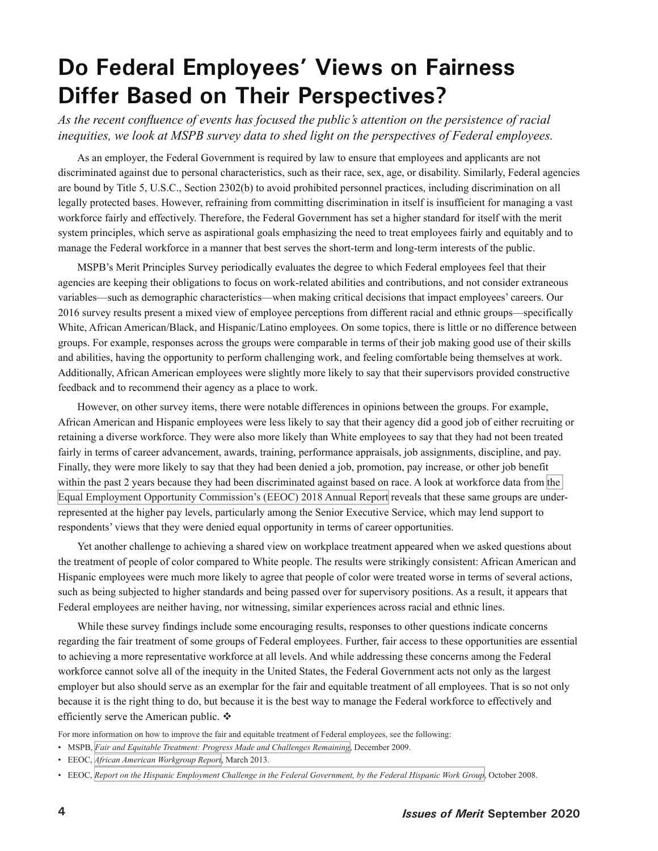### <span id="page-3-0"></span>**Do Federal Employees' Views on Fairness Differ Based on Their Perspectives?**

*As the recent confluence of events has focused the public's attention on the persistence of racial inequities, we look at MSPB survey data to shed light on the perspectives of Federal employees.* 

As an employer, the Federal Government is required by law to ensure that employees and applicants are not discriminated against due to personal characteristics, such as their race, sex, age, or disability. Similarly, Federal agencies are bound by Title 5, U.S.C., Section 2302(b) to avoid prohibited personnel practices, including discrimination on all legally protected bases. However, refraining from committing discrimination in itself is insufficient for managing a vast workforce fairly and effectively. Therefore, the Federal Government has set a higher standard for itself with the merit system principles, which serve as aspirational goals emphasizing the need to treat employees fairly and equitably and to manage the Federal workforce in a manner that best serves the short-term and long-term interests of the public.

MSPB's Merit Principles Survey periodically evaluates the degree to which Federal employees feel that their agencies are keeping their obligations to focus on work-related abilities and contributions, and not consider extraneous variables—such as demographic characteristics—when making critical decisions that impact employees' careers. Our 2016 survey results present a mixed view of employee perceptions from different racial and ethnic groups—specifically White, African American/Black, and Hispanic/Latino employees. On some topics, there is little or no difference between groups. For example, responses across the groups were comparable in terms of their job making good use of their skills and abilities, having the opportunity to perform challenging work, and feeling comfortable being themselves at work. Additionally, African American employees were slightly more likely to say that their supervisors provided constructive feedback and to recommend their agency as a place to work.

However, on other survey items, there were notable differences in opinions between the groups. For example, African American and Hispanic employees were less likely to say that their agency did a good job of either recruiting or retaining a diverse workforce. They were also more likely than White employees to say that they had not been treated fairly in terms of career advancement, awards, training, performance appraisals, job assignments, discipline, and pay. Finally, they were more likely to say that they had been denied a job, promotion, pay increase, or other job benefit within [the](https://www.eeoc.gov/federal-sector/reports/annual-report-federal-workforce-form-462-and-md-715-data-tables-fy-2017-and) past 2 years because they had been discriminated against based on race. A look at workforce data from the [Equal Employment Opportunity Commission's \(EEOC\) 2018 Annual Report](https://www.eeoc.gov/federal-sector/reports/annual-report-federal-workforce-form-462-and-md-715-data-tables-fy-2017-and) reveals that these same groups are underrepresented at the higher pay levels, particularly among the Senior Executive Service, which may lend support to respondents' views that they were denied equal opportunity in terms of career opportunities.

Yet another challenge to achieving a shared view on workplace treatment appeared when we asked questions about the treatment of people of color compared to White people. The results were strikingly consistent: African American and Hispanic employees were much more likely to agree that people of color were treated worse in terms of several actions, such as being subjected to higher standards and being passed over for supervisory positions. As a result, it appears that Federal employees are neither having, nor witnessing, similar experiences across racial and ethnic lines.

While these survey findings include some encouraging results, responses to other questions indicate concerns regarding the fair treatment of some groups of Federal employees. Further, fair access to these opportunities are essential to achieving a more representative workforce at all levels. And while addressing these concerns among the Federal workforce cannot solve all of the inequity in the United States, the Federal Government acts not only as the largest employer but also should serve as an exemplar for the fair and equitable treatment of all employees. That is so not only because it is the right thing to do, but because it is the best way to manage the Federal workforce to effectively and efficiently serve the American public.  $\mathbf{\hat{P}}$ 

For more information on how to improve the fair and equitable treatment of Federal employees, see the following:

- MSPB, *[Fair and Equitable Treatment: Progress Made and Challenges Remaining](https://www.mspb.gov/mspbsearch/viewdocs.aspx?docnumber=472678&version=473953&application=ACROBAT)*, December 2009.
- EEOC, *[African American Workgroup Report](https://www.eeoc.gov/sites/default/files/migrated_files/federal/reports/African-American-Report.pdf)*, March 2013.
- EEOC, *[Report on the Hispanic Employment Challenge in the Federal Government, by the Federal Hispanic Work Group](https://www.eeoc.gov/federal-sector/reports/report-hispanic-employment-challenge-federal-government-federal-hispanic)*, October 2008.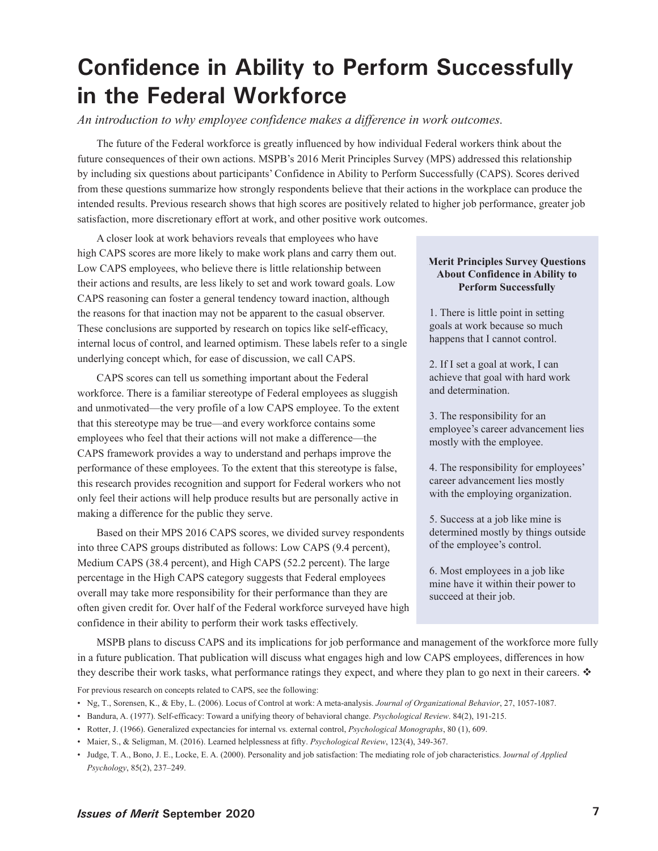## <span id="page-4-0"></span>**Confidence in Ability to Perform Successfully in the Federal Workforce**

*An introduction to why employee confidence makes a difference in work outcomes.* 

The future of the Federal workforce is greatly influenced by how individual Federal workers think about the future consequences of their own actions. MSPB's 2016 Merit Principles Survey (MPS) addressed this relationship by including six questions about participants' Confidence in Ability to Perform Successfully (CAPS). Scores derived from these questions summarize how strongly respondents believe that their actions in the workplace can produce the intended results. Previous research shows that high scores are positively related to higher job performance, greater job satisfaction, more discretionary effort at work, and other positive work outcomes.

A closer look at work behaviors reveals that employees who have high CAPS scores are more likely to make work plans and carry them out. Low CAPS employees, who believe there is little relationship between their actions and results, are less likely to set and work toward goals. Low CAPS reasoning can foster a general tendency toward inaction, although the reasons for that inaction may not be apparent to the casual observer. These conclusions are supported by research on topics like self-efficacy, internal locus of control, and learned optimism. These labels refer to a single underlying concept which, for ease of discussion, we call CAPS.

CAPS scores can tell us something important about the Federal workforce. There is a familiar stereotype of Federal employees as sluggish and unmotivated—the very profile of a low CAPS employee. To the extent that this stereotype may be true—and every workforce contains some employees who feel that their actions will not make a difference—the CAPS framework provides a way to understand and perhaps improve the performance of these employees. To the extent that this stereotype is false, this research provides recognition and support for Federal workers who not only feel their actions will help produce results but are personally active in making a difference for the public they serve.

Based on their MPS 2016 CAPS scores, we divided survey respondents into three CAPS groups distributed as follows: Low CAPS (9.4 percent), Medium CAPS (38.4 percent), and High CAPS (52.2 percent). The large percentage in the High CAPS category suggests that Federal employees overall may take more responsibility for their performance than they are often given credit for. Over half of the Federal workforce surveyed have high confidence in their ability to perform their work tasks effectively.

### **Merit Principles Survey Questions About Confidence in Ability to Perform Successfully**

1. There is little point in setting goals at work because so much happens that I cannot control.

2. If I set a goal at work, I can achieve that goal with hard work and determination.

3. The responsibility for an employee's career advancement lies mostly with the employee.

4. The responsibility for employees' career advancement lies mostly with the employing organization.

5. Success at a job like mine is determined mostly by things outside of the employee's control.

6. Most employees in a job like mine have it within their power to succeed at their job.

MSPB plans to discuss CAPS and its implications for job performance and management of the workforce more fully in a future publication. That publication will discuss what engages high and low CAPS employees, differences in how they describe their work tasks, what performance ratings they expect, and where they plan to go next in their careers.

For previous research on concepts related to CAPS, see the following:

- Bandura, A. (1977). Self-efficacy: Toward a unifying theory of behavioral change. *Psychological Review*. 84(2), 191-215.
- Rotter, J. (1966). Generalized expectancies for internal vs. external control, *Psychological Monographs*, 80 (1), 609.
- Maier, S., & Seligman, M. (2016). Learned helplessness at fifty. *Psychological Review*, 123(4), 349-367.

<sup>•</sup> Ng, T., Sorensen, K., & Eby, L. (2006). Locus of Control at work: A meta-analysis. *Journal of Organizational Behavior*, 27, 1057-1087.

<sup>•</sup> Judge, T. A., Bono, J. E., Locke, E. A. (2000). Personality and job satisfaction: The mediating role of job characteristics. J*ournal of Applied Psychology*, 85(2), 237–249.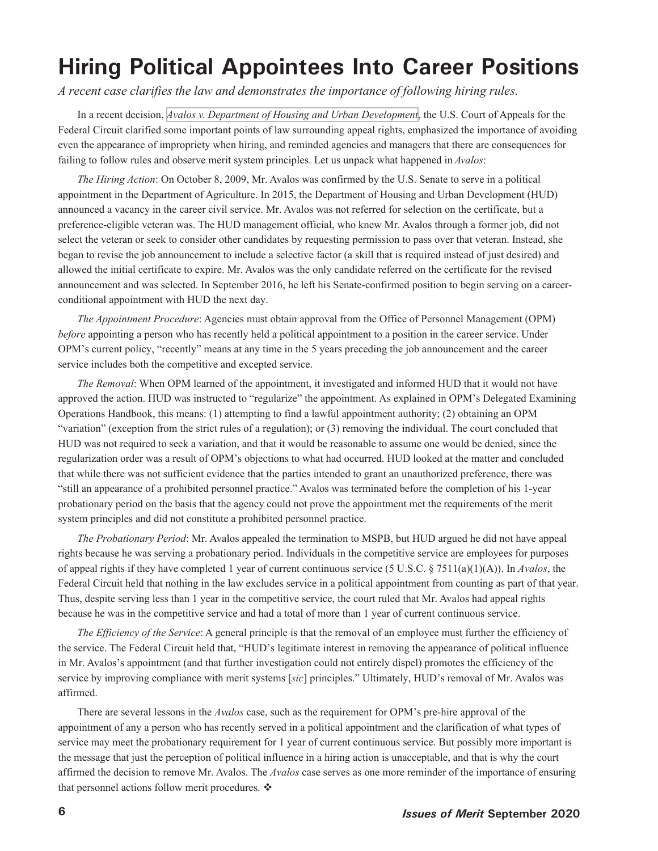### <span id="page-5-0"></span>**Hiring Political Appointees Into Career Positions**

*A recent case clarifies the law and demonstrates the importance of following hiring rules.* 

In a recent decision, *[Avalos v. Department of Housing and Urban Development](http://www.cafc.uscourts.gov/sites/default/files/opinions-orders/19-1118.OPINION.6-26-2020_1610306.pdf)*, the U.S. Court of Appeals for the Federal Circuit clarified some important points of law surrounding appeal rights, emphasized the importance of avoiding even the appearance of impropriety when hiring, and reminded agencies and managers that there are consequences for failing to follow rules and observe merit system principles. Let us unpack what happened in *Avalos*:

*The Hiring Action*: On October 8, 2009, Mr. Avalos was confirmed by the U.S. Senate to serve in a political appointment in the Department of Agriculture. In 2015, the Department of Housing and Urban Development (HUD) announced a vacancy in the career civil service. Mr. Avalos was not referred for selection on the certificate, but a preference-eligible veteran was. The HUD management official, who knew Mr. Avalos through a former job, did not select the veteran or seek to consider other candidates by requesting permission to pass over that veteran. Instead, she began to revise the job announcement to include a selective factor (a skill that is required instead of just desired) and allowed the initial certificate to expire. Mr. Avalos was the only candidate referred on the certificate for the revised announcement and was selected. In September 2016, he left his Senate-confirmed position to begin serving on a careerconditional appointment with HUD the next day.

*The Appointment Procedure*: Agencies must obtain approval from the Office of Personnel Management (OPM) *before* appointing a person who has recently held a political appointment to a position in the career service. Under OPM's current policy, "recently" means at any time in the 5 years preceding the job announcement and the career service includes both the competitive and excepted service.

*The Removal*: When OPM learned of the appointment, it investigated and informed HUD that it would not have approved the action. HUD was instructed to "regularize" the appointment. As explained in OPM's Delegated Examining Operations Handbook, this means: (1) attempting to find a lawful appointment authority; (2) obtaining an OPM "variation" (exception from the strict rules of a regulation); or (3) removing the individual. The court concluded that HUD was not required to seek a variation, and that it would be reasonable to assume one would be denied, since the regularization order was a result of OPM's objections to what had occurred. HUD looked at the matter and concluded that while there was not sufficient evidence that the parties intended to grant an unauthorized preference, there was "still an appearance of a prohibited personnel practice." Avalos was terminated before the completion of his 1-year probationary period on the basis that the agency could not prove the appointment met the requirements of the merit system principles and did not constitute a prohibited personnel practice.

*The Probationary Period*: Mr. Avalos appealed the termination to MSPB, but HUD argued he did not have appeal rights because he was serving a probationary period. Individuals in the competitive service are employees for purposes of appeal rights if they have completed 1 year of current continuous service (5 U.S.C. § 7511(a)(1)(A)). In *Avalos*, the Federal Circuit held that nothing in the law excludes service in a political appointment from counting as part of that year. Thus, despite serving less than 1 year in the competitive service, the court ruled that Mr. Avalos had appeal rights because he was in the competitive service and had a total of more than 1 year of current continuous service.

*The Efficiency of the Service*: A general principle is that the removal of an employee must further the efficiency of the service. The Federal Circuit held that, "HUD's legitimate interest in removing the appearance of political influence in Mr. Avalos's appointment (and that further investigation could not entirely dispel) promotes the efficiency of the service by improving compliance with merit systems [*sic*] principles." Ultimately, HUD's removal of Mr. Avalos was affirmed.

There are several lessons in the *Avalos* case, such as the requirement for OPM's pre-hire approval of the appointment of any a person who has recently served in a political appointment and the clarification of what types of service may meet the probationary requirement for 1 year of current continuous service. But possibly more important is the message that just the perception of political influence in a hiring action is unacceptable, and that is why the court affirmed the decision to remove Mr. Avalos. The *Avalos* case serves as one more reminder of the importance of ensuring that personnel actions follow merit procedures. ❖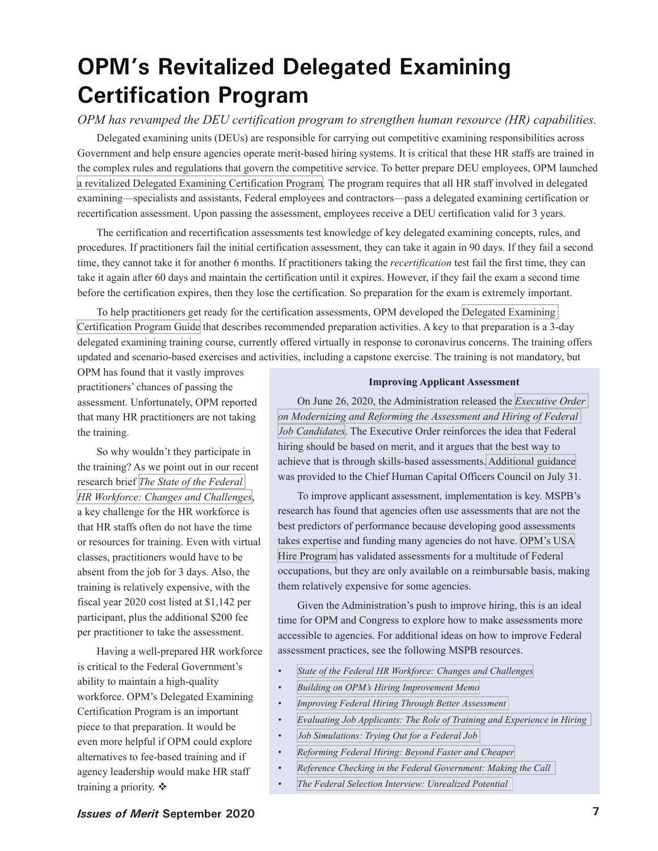## <span id="page-6-0"></span>**OPM's Revitalized Delegated Examining Certification Program**

### *OPM has revamped the DEU certification program to strengthen human resource (HR) capabilities.*

Delegated examining units (DEUs) are responsible for carrying out competitive examining responsibilities across Government and help ensure agencies operate merit-based hiring systems. It is critical that these HR staffs are trained in the complex rules and regulations that govern the competitive service. To better prepare DEU employees, OPM launched [a revitalized Delegated Examining Certification Program.](https://www.chcoc.gov/content/launch-revitalized-delegated-examining-certification-program) The program requires that all HR staff involved in delegated examining—specialists and assistants, Federal employees and contractors—pass a delegated examining certification or recertification assessment. Upon passing the assessment, employees receive a DEU certification valid for 3 years.

The certification and recertification assessments test knowledge of key delegated examining concepts, rules, and procedures. If practitioners fail the initial certification assessment, they can take it again in 90 days. If they fail a second time, they cannot take it for another 6 months. If practitioners taking the *recertification* test fail the first time, they can take it again after 60 days and maintain the certification until it expires. However, if they fail the exam a second time before the certification expires, then they lose the certification. So preparation for the exam is extremely important.

To help practitioners get ready for the certification assessments, OPM developed the [Delegated Examining](https://www.chcoc.gov/sites/default/files/Delegated%20Examining%20Certification%20Program%20Guide.pdf)  [Certification Program Guide](https://www.chcoc.gov/sites/default/files/Delegated%20Examining%20Certification%20Program%20Guide.pdf) that describes recommended preparation activities. A key to that preparation is a 3-day delegated examining training course, currently offered virtually in response to coronavirus concerns. The training offers updated and scenario-based exercises and activities, including a capstone exercise. The training is not mandatory, but

OPM has found that it vastly improves practitioners' chances of passing the assessment. Unfortunately, OPM reported that many HR practitioners are not taking the training.

So why wouldn't they participate in the training? As we point out in our recent research brief *[The State of the Federal](https://www.mspb.gov/MSPBSEARCH/viewdocs.aspx?docnumber=1724758&version=1730756&application=ACROBAT)  [HR Workforce: Changes and Challenges](https://www.mspb.gov/MSPBSEARCH/viewdocs.aspx?docnumber=1724758&version=1730756&application=ACROBAT)*, a key challenge for the HR workforce is that HR staffs often do not have the time or resources for training. Even with virtual classes, practitioners would have to be absent from the job for 3 days. Also, the training is relatively expensive, with the fiscal year 2020 cost listed at \$1,142 per participant, plus the additional \$200 fee per practitioner to take the assessment.

Having a well-prepared HR workforce is critical to the Federal Government's ability to maintain a high-quality workforce. OPM's Delegated Examining Certification Program is an important piece to that preparation. It would be even more helpful if OPM could explore alternatives to fee-based training and if agency leadership would make HR staff training a priority. ❖

### **Improving Applicant Assessment**

On June 26, 2020, the Administration released the *[Executive Order](https://www.whitehouse.gov/presidential-actions/executive-order-modernizing-reforming-assessment-hiring-federal-job-candidates/)  [on Modernizing and Reforming the Assessment and Hiring of Federal](https://www.whitehouse.gov/presidential-actions/executive-order-modernizing-reforming-assessment-hiring-federal-job-candidates/)  [Job Candidates](https://www.whitehouse.gov/presidential-actions/executive-order-modernizing-reforming-assessment-hiring-federal-job-candidates/)*. The Executive Order reinforces the idea that Federal hiring should be based on merit, and it argues that the best way to achieve that is through skills-based assessments. [Additional guidance](https://www.chcoc.gov/content/implementation-eo-13932-determining-qualifications-and-use-assessment-tools-when-filling)  was provided to the Chief Human Capital Officers Council on July 31.

To improve applicant assessment, implementation is key. MSPB's research has found that agencies often use assessments that are not the best predictors of performance because developing good assessments takes expertise and funding many agencies do not have. [OPM's USA](https://www.opm.gov/services-for-agencies/assessment-evaluation/usa-hire/) [Hire Program](https://www.opm.gov/services-for-agencies/assessment-evaluation/usa-hire/) has validated assessments for a multitude of Federal occupations, but they are only available on a reimbursable basis, making them relatively expensive for some agencies.

Given the Administration's push to improve hiring, this is an ideal time for OPM and Congress to explore how to make assessments more accessible to agencies. For additional ideas on how to improve Federal assessment practices, see the following MSPB resources.

- *[State of the Federal HR Workforce: Changes and Challenges](https://www.mspb.gov/MSPBSEARCH/viewdocs.aspx?docnumber=1724758&version=1730756&application=ACROBAT)*
- *[Building on OPM's Hiring Improvement Memo](https://www.mspb.gov/MSPBSEARCH/viewdocs.aspx?docnumber=1666398&version=1672301&application=ACROBAT) •*
- *[Improving Federal Hiring Through Better Assessment](https://www.mspb.gov/MSPBSEARCH/viewdocs.aspx?docnumber=1534415&version=1540061&application=ACROBAT)  •*
- *[Evaluating Job Applicants: The Role of Training and Experience in Hiring](https://www.mspb.gov/mspbsearch/viewdocs.aspx?docnumber=968357&version=972211&application=ACROBAT)  •*
- *[Job Simulations: Trying Out for a Federal Job](https://www.mspb.gov/mspbsearch/viewdocs.aspx?docnumber=452039&version=453207&application=ACROBAT)  •*
- *[Reforming Federal Hiring: Beyond Faster and Cheaper](https://www.mspb.gov/MSPBSEARCH/viewdocs.aspx?docnumber=224102&version=224321&application=ACROBAT)  •*
- *[Reference Checking in the Federal Government: Making the Call](https://www.mspb.gov/MSPBSEARCH/viewdocs.aspx?docnumber=224106&version=224325&application=ACROBAT)  •*
- *[The Federal Selection Interview: Unrealized Potential](https://www.mspb.gov/MSPBSEARCH/viewdocs.aspx?docnumber=253635&version=253922&application=ACROBAT)  •*